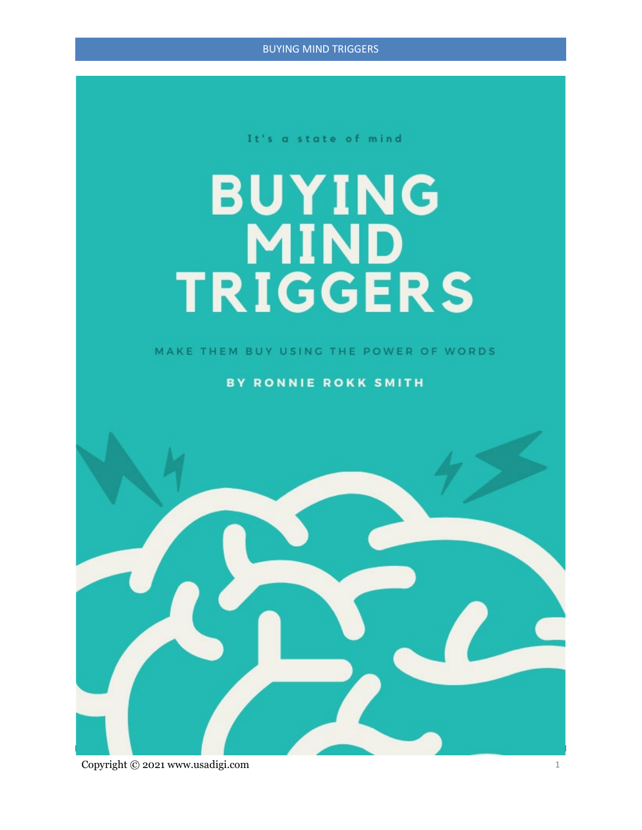BUYING MIND TRIGGERS

It's a state of mind

# **BUYING TRIGGERS**

MAKE THEM BUY USING THE POWER OF WORDS

**BY RONNIE ROKK SMITH** 



Copyright © 2021 www.usadigi.com 1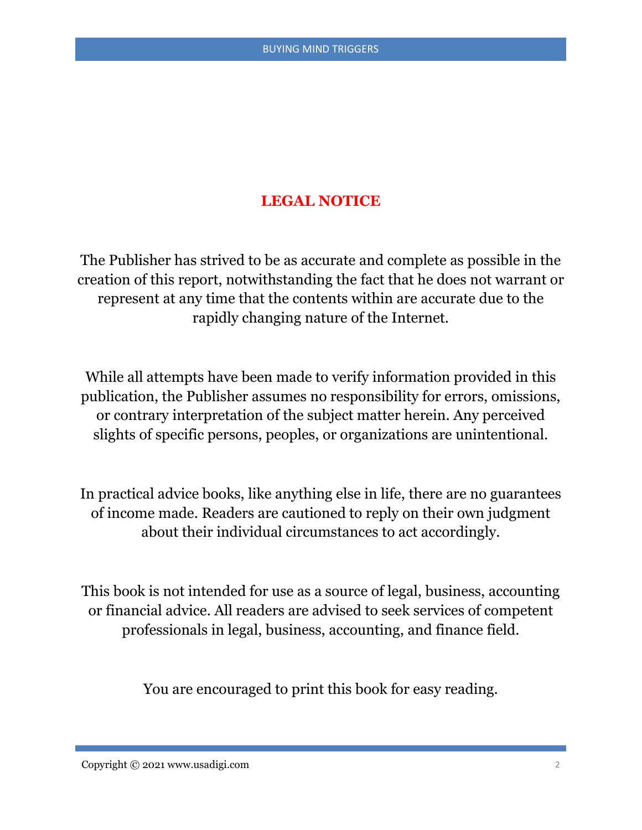#### **LEGAL NOTICE**

The Publisher has strived to be as accurate and complete as possible in the creation of this report, notwithstanding the fact that he does not warrant or represent at any time that the contents within are accurate due to the rapidly changing nature of the Internet.

While all attempts have been made to verify information provided in this publication, the Publisher assumes no responsibility for errors, omissions, or contrary interpretation of the subject matter herein. Any perceived slights of specific persons, peoples, or organizations are unintentional.

In practical advice books, like anything else in life, there are no guarantees of income made. Readers are cautioned to reply on their own judgment about their individual circumstances to act accordingly.

This book is not intended for use as a source of legal, business, accounting or financial advice. All readers are advised to seek services of competent professionals in legal, business, accounting, and finance field.

You are encouraged to print this book for easy reading.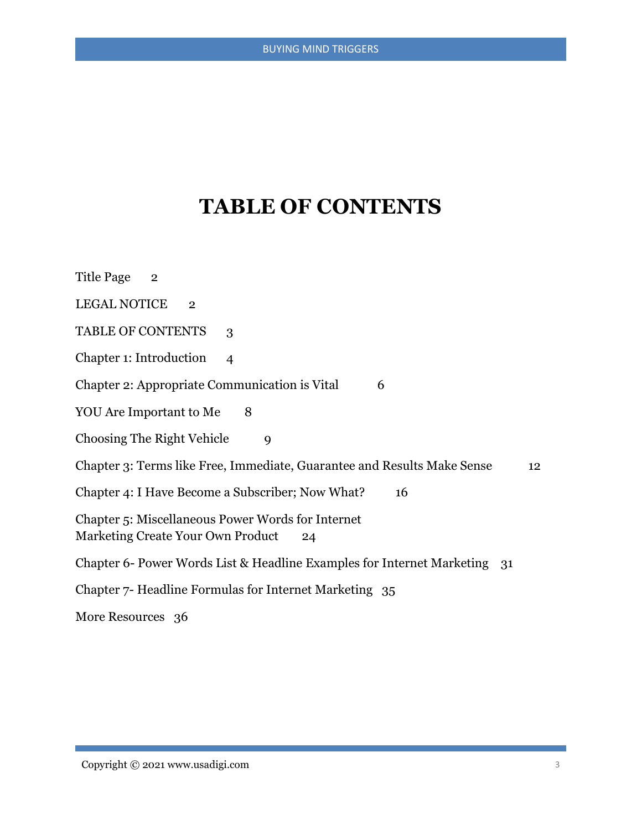# **TABLE OF CONTENTS**

| Title Page 2                                                                                 |
|----------------------------------------------------------------------------------------------|
| <b>LEGAL NOTICE</b><br>$\overline{2}$                                                        |
| TABLE OF CONTENTS<br>3                                                                       |
| Chapter 1: Introduction<br>$\overline{\mathcal{A}}$                                          |
| Chapter 2: Appropriate Communication is Vital<br>6                                           |
| YOU Are Important to Me<br>8                                                                 |
| <b>Choosing The Right Vehicle</b><br>$\mathbf Q$                                             |
| Chapter 3: Terms like Free, Immediate, Guarantee and Results Make Sense<br>12                |
| Chapter 4: I Have Become a Subscriber; Now What?<br>16                                       |
| Chapter 5: Miscellaneous Power Words for Internet<br>Marketing Create Your Own Product<br>24 |
| Chapter 6- Power Words List & Headline Examples for Internet Marketing<br>31                 |
| Chapter 7- Headline Formulas for Internet Marketing 35                                       |
| More Resources 36                                                                            |
|                                                                                              |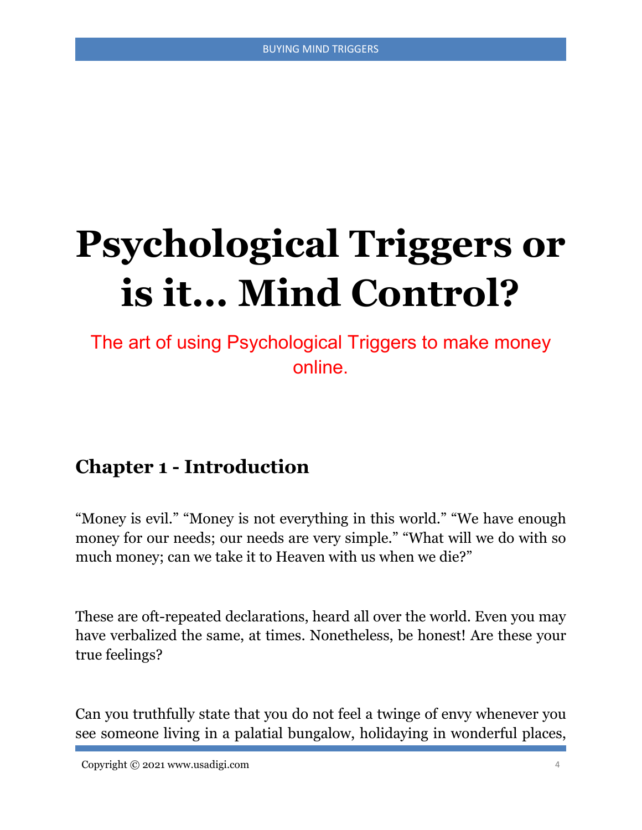# **Psychological Triggers or is it... Mind Control?**

The art of using Psychological Triggers to make money online.

# **Chapter 1 - Introduction**

"Money is evil." "Money is not everything in this world." "We have enough money for our needs; our needs are very simple." "What will we do with so much money; can we take it to Heaven with us when we die?"

These are oft-repeated declarations, heard all over the world. Even you may have verbalized the same, at times. Nonetheless, be honest! Are these your true feelings?

Can you truthfully state that you do not feel a twinge of envy whenever you see someone living in a palatial bungalow, holidaying in wonderful places,

Copyright © 2021 www.usadigi.com 4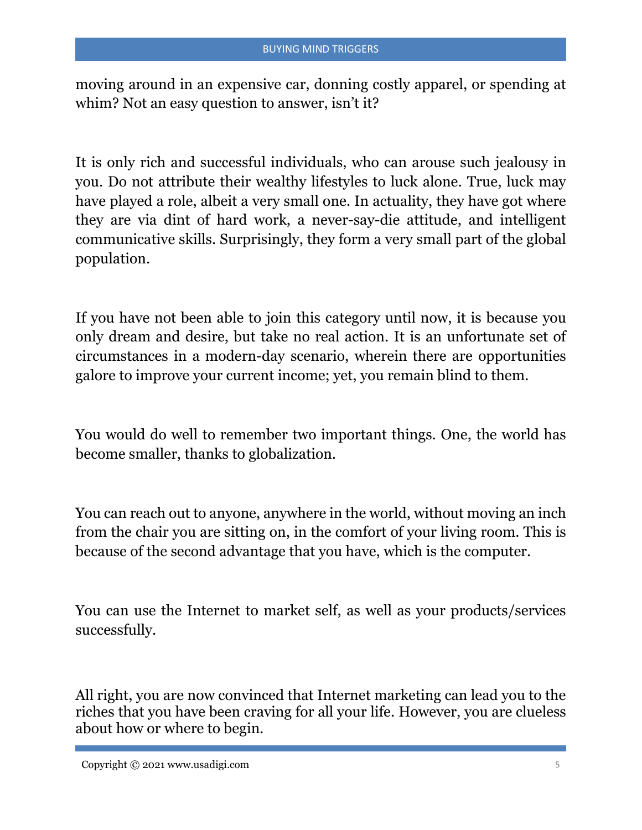moving around in an expensive car, donning costly apparel, or spending at whim? Not an easy question to answer, isn't it?

It is only rich and successful individuals, who can arouse such jealousy in you. Do not attribute their wealthy lifestyles to luck alone. True, luck may have played a role, albeit a very small one. In actuality, they have got where they are via dint of hard work, a never-say-die attitude, and intelligent communicative skills. Surprisingly, they form a very small part of the global population.

If you have not been able to join this category until now, it is because you only dream and desire, but take no real action. It is an unfortunate set of circumstances in a modern-day scenario, wherein there are opportunities galore to improve your current income; yet, you remain blind to them.

You would do well to remember two important things. One, the world has become smaller, thanks to globalization.

You can reach out to anyone, anywhere in the world, without moving an inch from the chair you are sitting on, in the comfort of your living room. This is because of the second advantage that you have, which is the computer.

You can use the Internet to market self, as well as your products/services successfully.

All right, you are now convinced that Internet marketing can lead you to the riches that you have been craving for all your life. However, you are clueless about how or where to begin.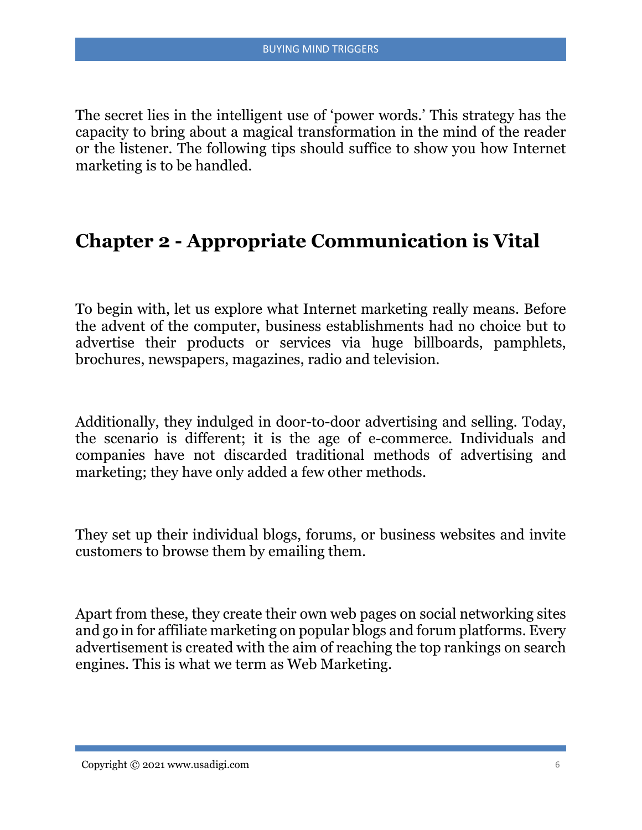The secret lies in the intelligent use of 'power words.' This strategy has the capacity to bring about a magical transformation in the mind of the reader or the listener. The following tips should suffice to show you how Internet marketing is to be handled.

### **Chapter 2 - Appropriate Communication is Vital**

To begin with, let us explore what Internet marketing really means. Before the advent of the computer, business establishments had no choice but to advertise their products or services via huge billboards, pamphlets, brochures, newspapers, magazines, radio and television.

Additionally, they indulged in door-to-door advertising and selling. Today, the scenario is different; it is the age of e-commerce. Individuals and companies have not discarded traditional methods of advertising and marketing; they have only added a few other methods.

They set up their individual blogs, forums, or business websites and invite customers to browse them by emailing them.

Apart from these, they create their own web pages on social networking sites and go in for affiliate marketing on popular blogs and forum platforms. Every advertisement is created with the aim of reaching the top rankings on search engines. This is what we term as Web Marketing.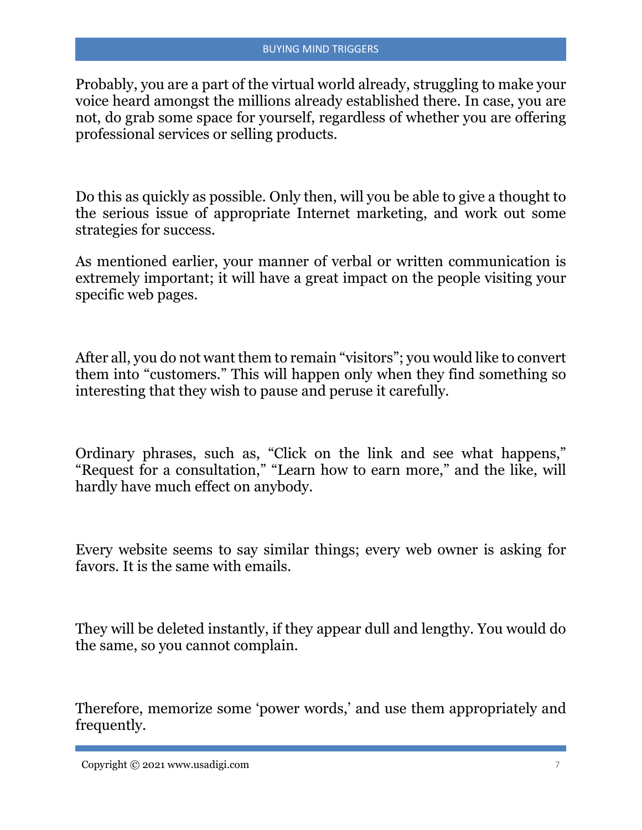Probably, you are a part of the virtual world already, struggling to make your voice heard amongst the millions already established there. In case, you are not, do grab some space for yourself, regardless of whether you are offering professional services or selling products.

Do this as quickly as possible. Only then, will you be able to give a thought to the serious issue of appropriate Internet marketing, and work out some strategies for success.

As mentioned earlier, your manner of verbal or written communication is extremely important; it will have a great impact on the people visiting your specific web pages.

After all, you do not want them to remain "visitors"; you would like to convert them into "customers." This will happen only when they find something so interesting that they wish to pause and peruse it carefully.

Ordinary phrases, such as, "Click on the link and see what happens," "Request for a consultation," "Learn how to earn more," and the like, will hardly have much effect on anybody.

Every website seems to say similar things; every web owner is asking for favors. It is the same with emails.

They will be deleted instantly, if they appear dull and lengthy. You would do the same, so you cannot complain.

Therefore, memorize some 'power words,' and use them appropriately and frequently.

Copyright © 2021 www.usadigi.com 7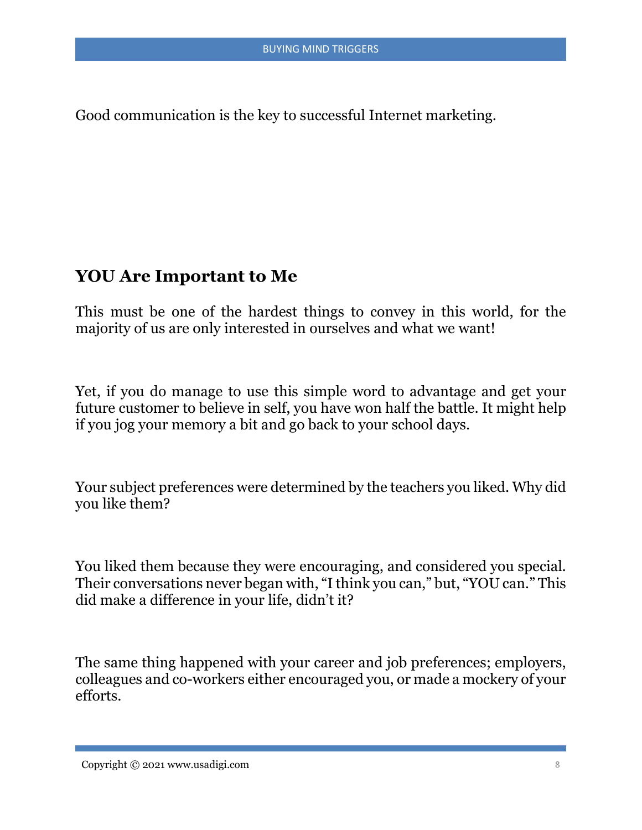Good communication is the key to successful Internet marketing.

#### **YOU Are Important to Me**

This must be one of the hardest things to convey in this world, for the majority of us are only interested in ourselves and what we want!

Yet, if you do manage to use this simple word to advantage and get your future customer to believe in self, you have won half the battle. It might help if you jog your memory a bit and go back to your school days.

Your subject preferences were determined by the teachers you liked. Why did you like them?

You liked them because they were encouraging, and considered you special. Their conversations never began with, "I think you can," but, "YOU can." This did make a difference in your life, didn't it?

The same thing happened with your career and job preferences; employers, colleagues and co-workers either encouraged you, or made a mockery of your efforts.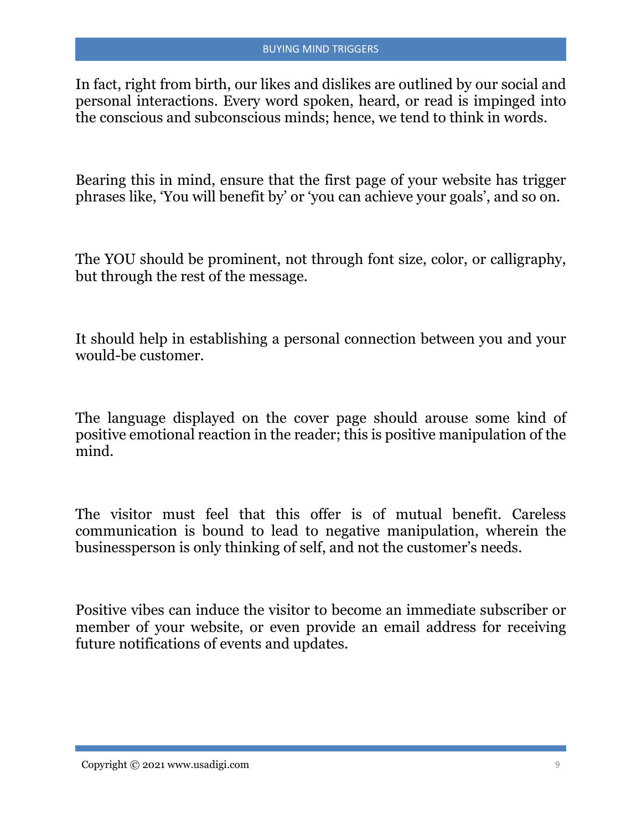In fact, right from birth, our likes and dislikes are outlined by our social and personal interactions. Every word spoken, heard, or read is impinged into the conscious and subconscious minds; hence, we tend to think in words.

Bearing this in mind, ensure that the first page of your website has trigger phrases like, 'You will benefit by' or 'you can achieve your goals', and so on.

The YOU should be prominent, not through font size, color, or calligraphy, but through the rest of the message.

It should help in establishing a personal connection between you and your would-be customer.

The language displayed on the cover page should arouse some kind of positive emotional reaction in the reader; this is positive manipulation of the mind.

The visitor must feel that this offer is of mutual benefit. Careless communication is bound to lead to negative manipulation, wherein the businessperson is only thinking of self, and not the customer's needs.

Positive vibes can induce the visitor to become an immediate subscriber or member of your website, or even provide an email address for receiving future notifications of events and updates.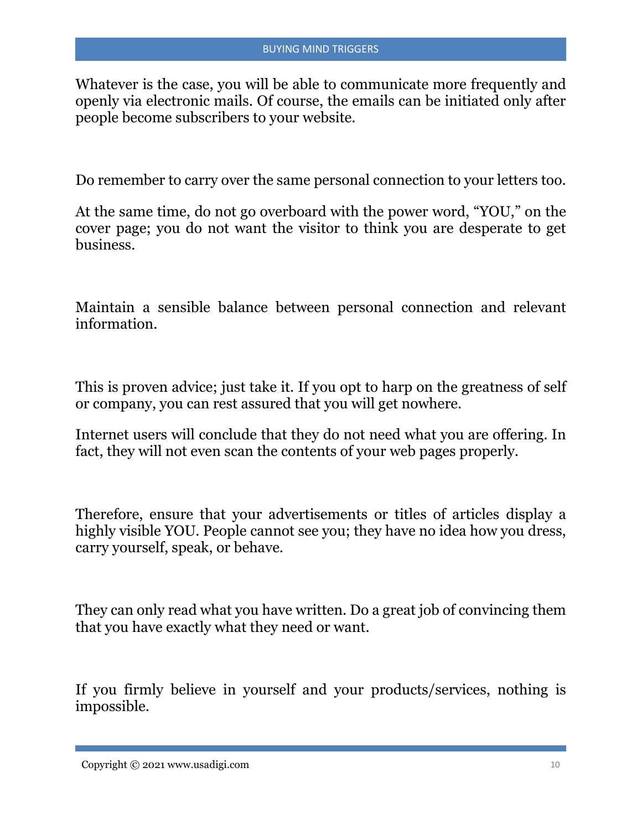Whatever is the case, you will be able to communicate more frequently and openly via electronic mails. Of course, the emails can be initiated only after people become subscribers to your website.

Do remember to carry over the same personal connection to your letters too.

At the same time, do not go overboard with the power word, "YOU," on the cover page; you do not want the visitor to think you are desperate to get business.

Maintain a sensible balance between personal connection and relevant information.

This is proven advice; just take it. If you opt to harp on the greatness of self or company, you can rest assured that you will get nowhere.

Internet users will conclude that they do not need what you are offering. In fact, they will not even scan the contents of your web pages properly.

Therefore, ensure that your advertisements or titles of articles display a highly visible YOU. People cannot see you; they have no idea how you dress, carry yourself, speak, or behave.

They can only read what you have written. Do a great job of convincing them that you have exactly what they need or want.

If you firmly believe in yourself and your products/services, nothing is impossible.

 $Copyright © 2021 [www.usadigi.com](https://www.usadigi.com) 10$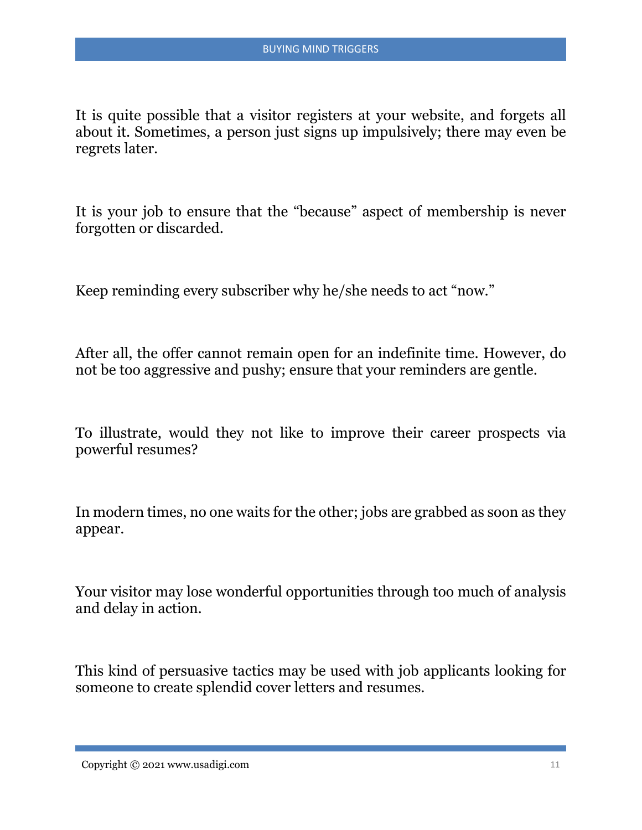It is quite possible that a visitor registers at your website, and forgets all about it. Sometimes, a person just signs up impulsively; there may even be regrets later.

It is your job to ensure that the "because" aspect of membership is never forgotten or discarded.

Keep reminding every subscriber why he/she needs to act "now."

After all, the offer cannot remain open for an indefinite time. However, do not be too aggressive and pushy; ensure that your reminders are gentle.

To illustrate, would they not like to improve their career prospects via powerful resumes?

In modern times, no one waits for the other; jobs are grabbed as soon as they appear.

Your visitor may lose wonderful opportunities through too much of analysis and delay in action.

This kind of persuasive tactics may be used with job applicants looking for someone to create splendid cover letters and resumes.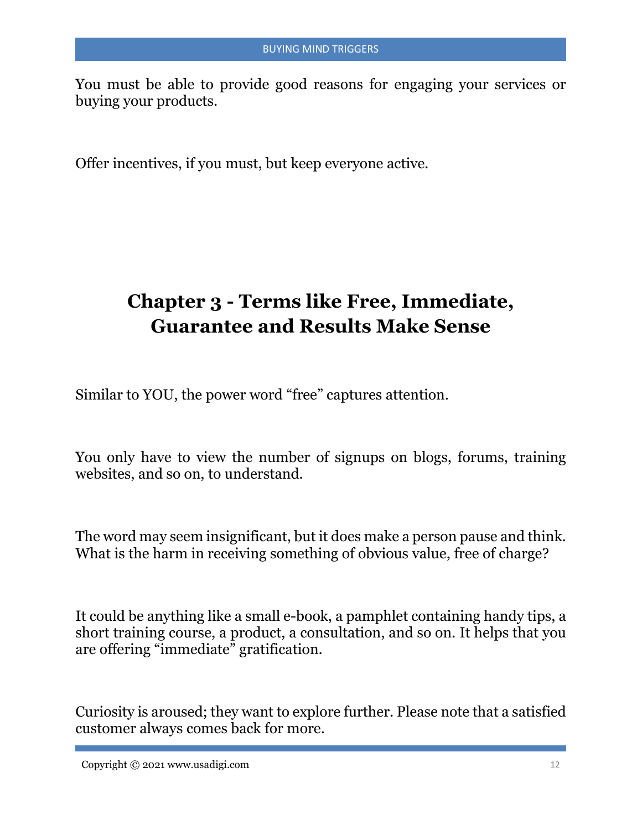You must be able to provide good reasons for engaging your services or buying your products.

Offer incentives, if you must, but keep everyone active.

# **Chapter 3 - Terms like Free, Immediate, Guarantee and Results Make Sense**

Similar to YOU, the power word "free" captures attention.

You only have to view the number of signups on blogs, forums, training websites, and so on, to understand.

The word may seem insignificant, but it does make a person pause and think. What is the harm in receiving something of obvious value, free of charge?

It could be anything like a small e-book, a pamphlet containing handy tips, a short training course, a product, a consultation, and so on. It helps that you are offering "immediate" gratification.

Curiosity is aroused; they want to explore further. Please note that a satisfied customer always comes back for more.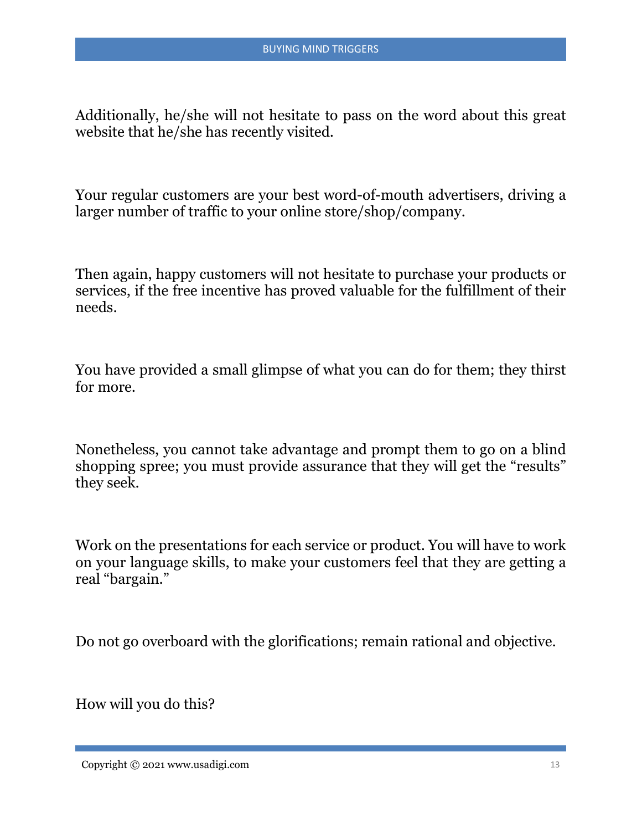Additionally, he/she will not hesitate to pass on the word about this great website that he/she has recently visited.

Your regular customers are your best word-of-mouth advertisers, driving a larger number of traffic to your online store/shop/company.

Then again, happy customers will not hesitate to purchase your products or services, if the free incentive has proved valuable for the fulfillment of their needs.

You have provided a small glimpse of what you can do for them; they thirst for more.

Nonetheless, you cannot take advantage and prompt them to go on a blind shopping spree; you must provide assurance that they will get the "results" they seek.

Work on the presentations for each service or product. You will have to work on your language skills, to make your customers feel that they are getting a real "bargain."

Do not go overboard with the glorifications; remain rational and objective.

How will you do this?

 $Copyright © 2021 [www.usadigi.com](https://www.usadigi.com) 13$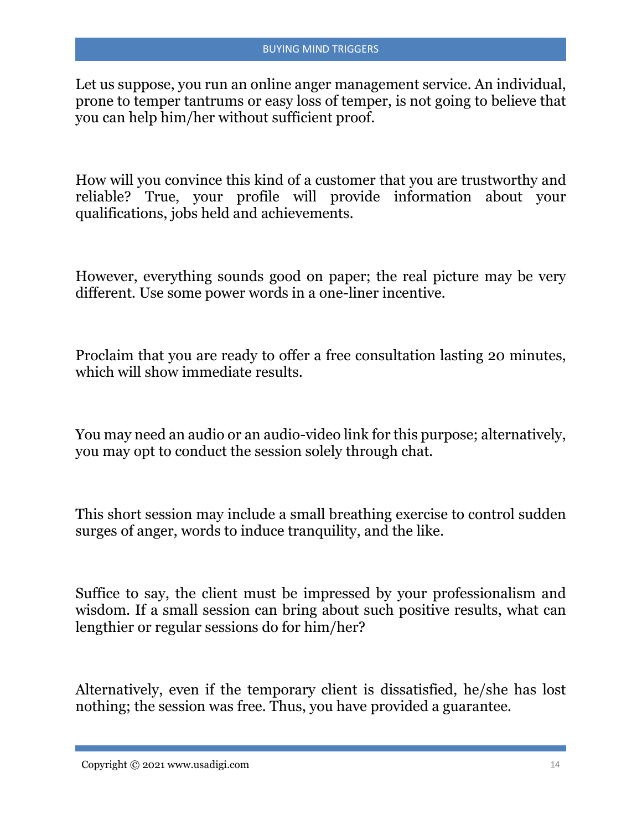Let us suppose, you run an online anger management service. An individual, prone to temper tantrums or easy loss of temper, is not going to believe that you can help him/her without sufficient proof.

How will you convince this kind of a customer that you are trustworthy and reliable? True, your profile will provide information about your qualifications, jobs held and achievements.

However, everything sounds good on paper; the real picture may be very different. Use some power words in a one-liner incentive.

Proclaim that you are ready to offer a free consultation lasting 20 minutes, which will show immediate results.

You may need an audio or an audio-video link for this purpose; alternatively, you may opt to conduct the session solely through chat.

This short session may include a small breathing exercise to control sudden surges of anger, words to induce tranquility, and the like.

Suffice to say, the client must be impressed by your professionalism and wisdom. If a small session can bring about such positive results, what can lengthier or regular sessions do for him/her?

Alternatively, even if the temporary client is dissatisfied, he/she has lost nothing; the session was free. Thus, you have provided a guarantee.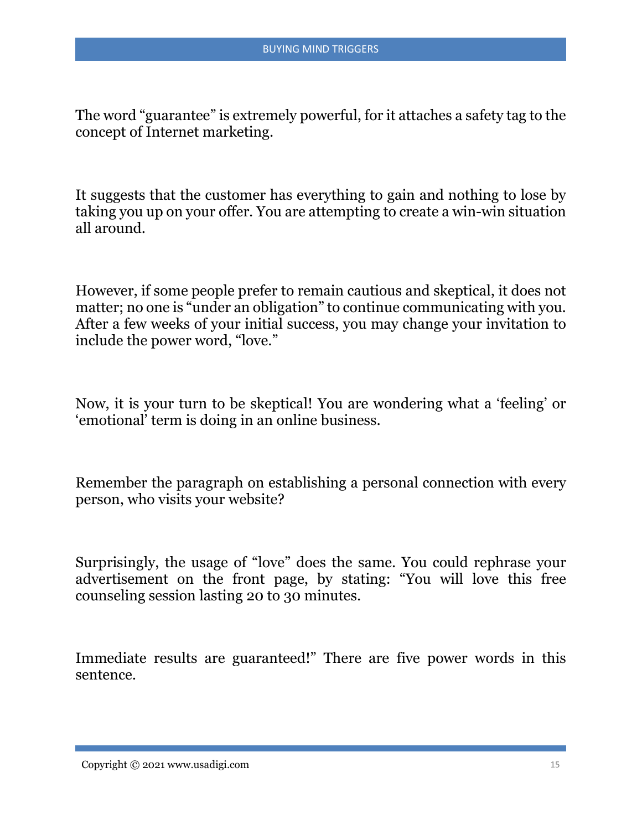The word "guarantee" is extremely powerful, for it attaches a safety tag to the concept of Internet marketing.

It suggests that the customer has everything to gain and nothing to lose by taking you up on your offer. You are attempting to create a win-win situation all around.

However, if some people prefer to remain cautious and skeptical, it does not matter; no one is "under an obligation" to continue communicating with you. After a few weeks of your initial success, you may change your invitation to include the power word, "love."

Now, it is your turn to be skeptical! You are wondering what a 'feeling' or 'emotional' term is doing in an online business.

Remember the paragraph on establishing a personal connection with every person, who visits your website?

Surprisingly, the usage of "love" does the same. You could rephrase your advertisement on the front page, by stating: "You will love this free counseling session lasting 20 to 30 minutes.

Immediate results are guaranteed!" There are five power words in this sentence.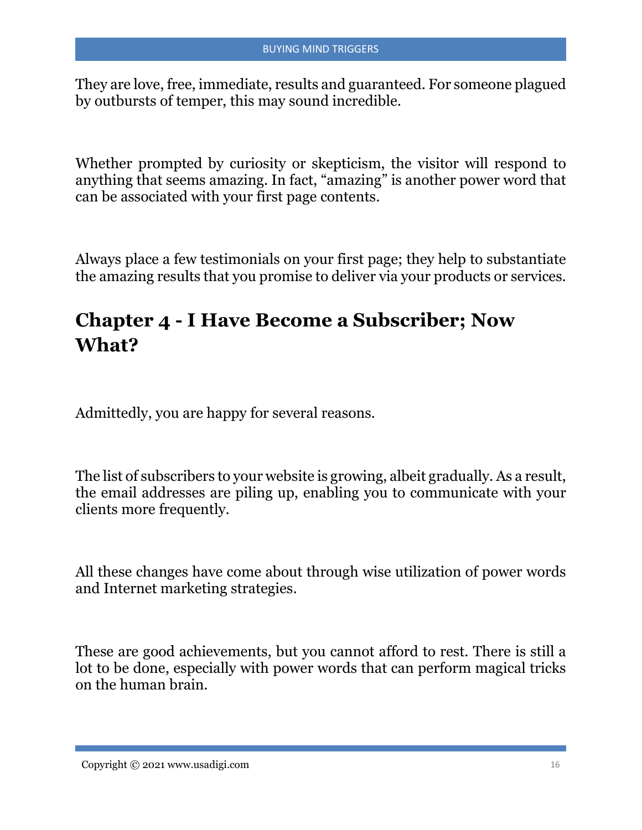They are love, free, immediate, results and guaranteed. For someone plagued by outbursts of temper, this may sound incredible.

Whether prompted by curiosity or skepticism, the visitor will respond to anything that seems amazing. In fact, "amazing" is another power word that can be associated with your first page contents.

Always place a few testimonials on your first page; they help to substantiate the amazing results that you promise to deliver via your products or services.

## **Chapter 4 - I Have Become a Subscriber; Now What?**

Admittedly, you are happy for several reasons.

The list of subscribers to your website is growing, albeit gradually. As a result, the email addresses are piling up, enabling you to communicate with your clients more frequently.

All these changes have come about through wise utilization of power words and Internet marketing strategies.

These are good achievements, but you cannot afford to rest. There is still a lot to be done, especially with power words that can perform magical tricks on the human brain.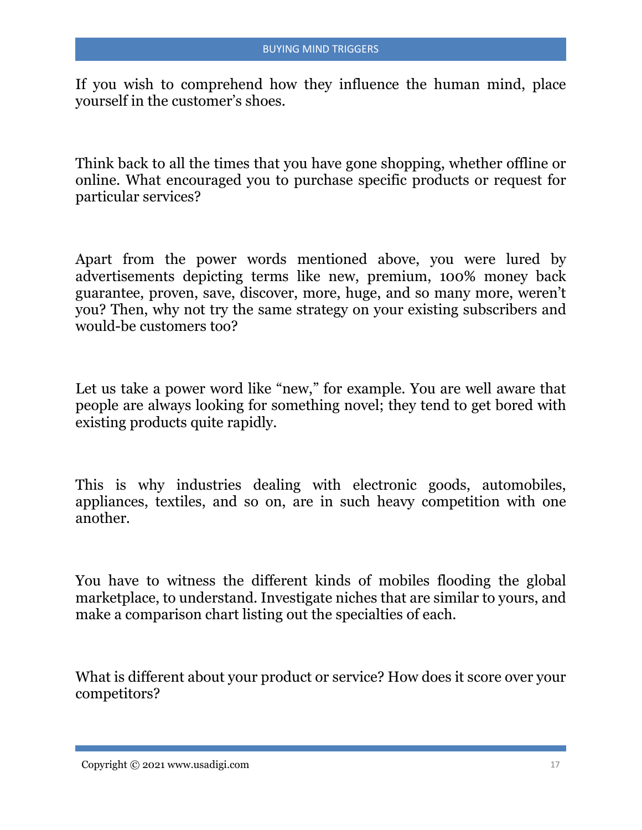If you wish to comprehend how they influence the human mind, place yourself in the customer's shoes.

Think back to all the times that you have gone shopping, whether offline or online. What encouraged you to purchase specific products or request for particular services?

Apart from the power words mentioned above, you were lured by advertisements depicting terms like new, premium, 100% money back guarantee, proven, save, discover, more, huge, and so many more, weren't you? Then, why not try the same strategy on your existing subscribers and would-be customers too?

Let us take a power word like "new," for example. You are well aware that people are always looking for something novel; they tend to get bored with existing products quite rapidly.

This is why industries dealing with electronic goods, automobiles, appliances, textiles, and so on, are in such heavy competition with one another.

You have to witness the different kinds of mobiles flooding the global marketplace, to understand. Investigate niches that are similar to yours, and make a comparison chart listing out the specialties of each.

What is different about your product or service? How does it score over your competitors?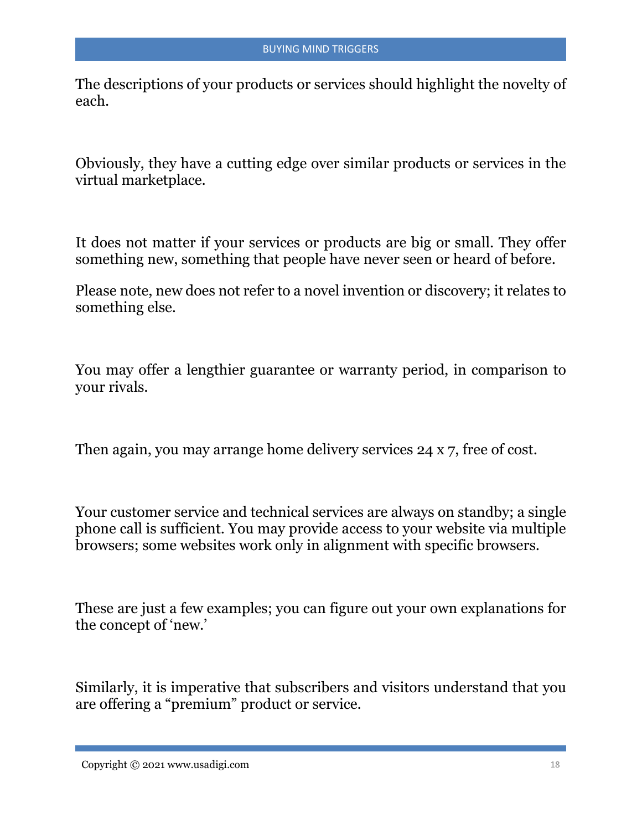The descriptions of your products or services should highlight the novelty of each.

Obviously, they have a cutting edge over similar products or services in the virtual marketplace.

It does not matter if your services or products are big or small. They offer something new, something that people have never seen or heard of before.

Please note, new does not refer to a novel invention or discovery; it relates to something else.

You may offer a lengthier guarantee or warranty period, in comparison to your rivals.

Then again, you may arrange home delivery services 24 x 7, free of cost.

Your customer service and technical services are always on standby; a single phone call is sufficient. You may provide access to your website via multiple browsers; some websites work only in alignment with specific browsers.

These are just a few examples; you can figure out your own explanations for the concept of 'new.'

Similarly, it is imperative that subscribers and visitors understand that you are offering a "premium" product or service.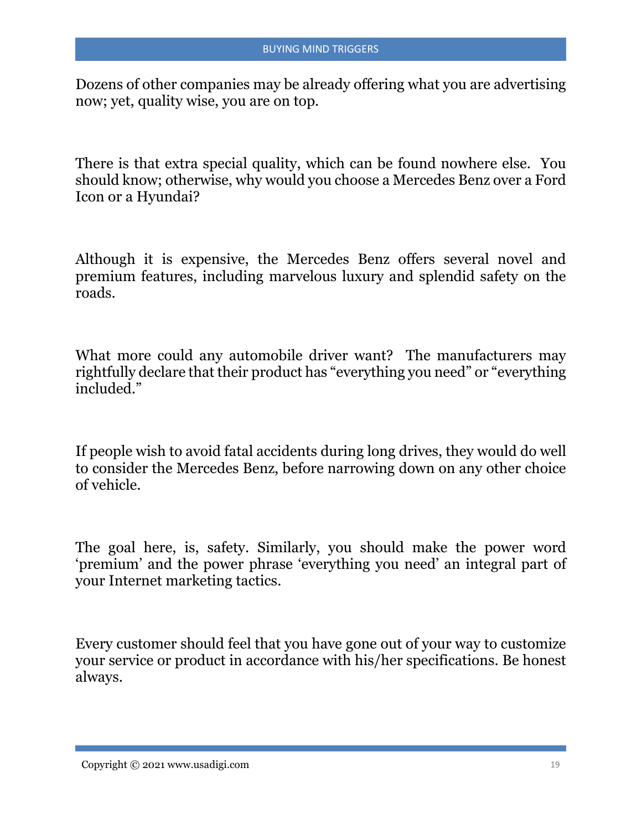Dozens of other companies may be already offering what you are advertising now; yet, quality wise, you are on top.

There is that extra special quality, which can be found nowhere else. You should know; otherwise, why would you choose a Mercedes Benz over a Ford Icon or a Hyundai?

Although it is expensive, the Mercedes Benz offers several novel and premium features, including marvelous luxury and splendid safety on the roads.

What more could any automobile driver want? The manufacturers may rightfully declare that their product has "everything you need" or "everything included."

If people wish to avoid fatal accidents during long drives, they would do well to consider the Mercedes Benz, before narrowing down on any other choice of vehicle.

The goal here, is, safety. Similarly, you should make the power word 'premium' and the power phrase 'everything you need' an integral part of your Internet marketing tactics.

Every customer should feel that you have gone out of your way to customize your service or product in accordance with his/her specifications. Be honest always.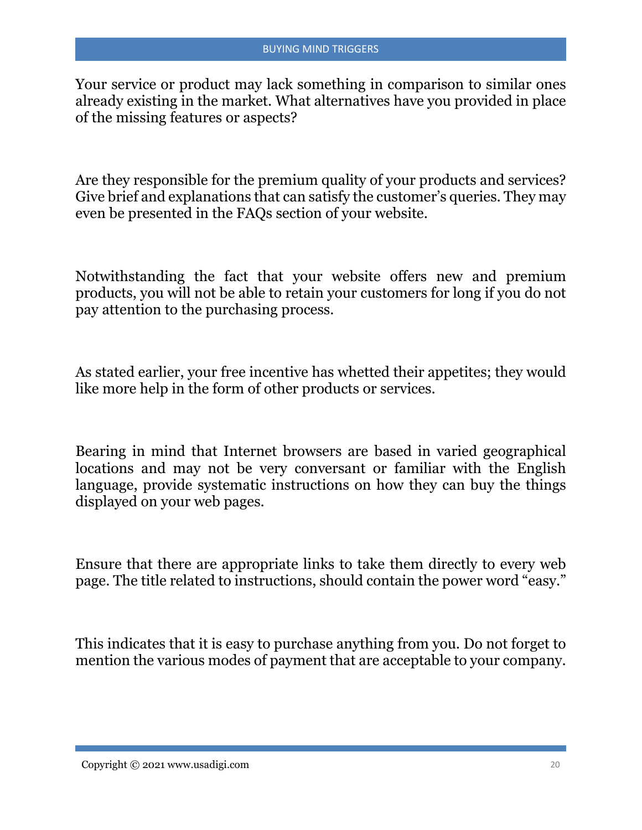Your service or product may lack something in comparison to similar ones already existing in the market. What alternatives have you provided in place of the missing features or aspects?

Are they responsible for the premium quality of your products and services? Give brief and explanations that can satisfy the customer's queries. They may even be presented in the FAQs section of your website.

Notwithstanding the fact that your website offers new and premium products, you will not be able to retain your customers for long if you do not pay attention to the purchasing process.

As stated earlier, your free incentive has whetted their appetites; they would like more help in the form of other products or services.

Bearing in mind that Internet browsers are based in varied geographical locations and may not be very conversant or familiar with the English language, provide systematic instructions on how they can buy the things displayed on your web pages.

Ensure that there are appropriate links to take them directly to every web page. The title related to instructions, should contain the power word "easy."

This indicates that it is easy to purchase anything from you. Do not forget to mention the various modes of payment that are acceptable to your company.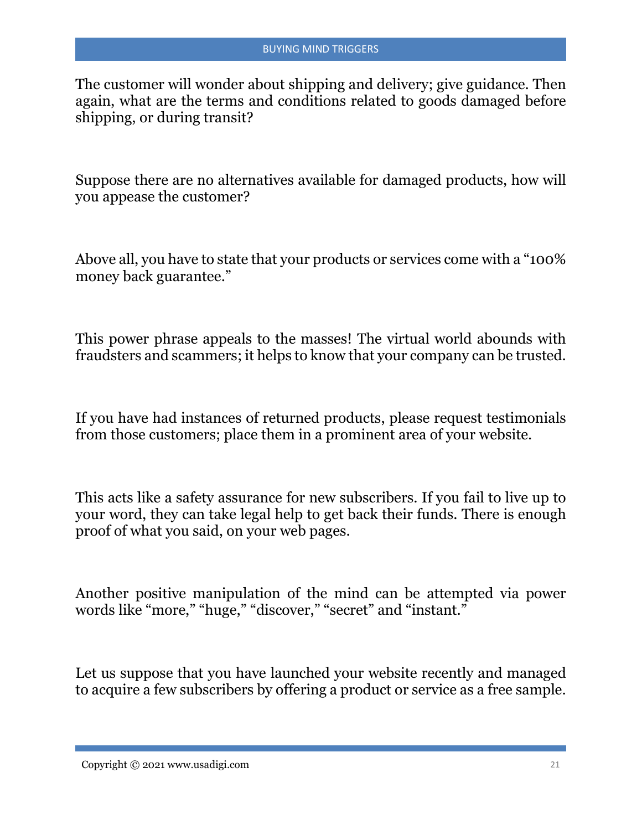The customer will wonder about shipping and delivery; give guidance. Then again, what are the terms and conditions related to goods damaged before shipping, or during transit?

Suppose there are no alternatives available for damaged products, how will you appease the customer?

Above all, you have to state that your products or services come with a "100% money back guarantee."

This power phrase appeals to the masses! The virtual world abounds with fraudsters and scammers; it helps to know that your company can be trusted.

If you have had instances of returned products, please request testimonials from those customers; place them in a prominent area of your website.

This acts like a safety assurance for new subscribers. If you fail to live up to your word, they can take legal help to get back their funds. There is enough proof of what you said, on your web pages.

Another positive manipulation of the mind can be attempted via power words like "more," "huge," "discover," "secret" and "instant."

Let us suppose that you have launched your website recently and managed to acquire a few subscribers by offering a product or service as a free sample.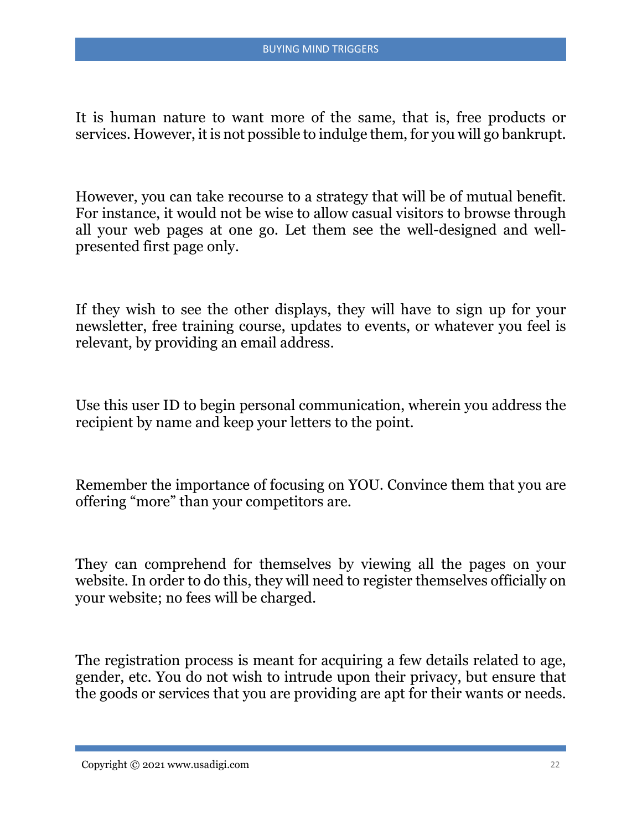It is human nature to want more of the same, that is, free products or services. However, it is not possible to indulge them, for you will go bankrupt.

However, you can take recourse to a strategy that will be of mutual benefit. For instance, it would not be wise to allow casual visitors to browse through all your web pages at one go. Let them see the well-designed and wellpresented first page only.

If they wish to see the other displays, they will have to sign up for your newsletter, free training course, updates to events, or whatever you feel is relevant, by providing an email address.

Use this user ID to begin personal communication, wherein you address the recipient by name and keep your letters to the point.

Remember the importance of focusing on YOU. Convince them that you are offering "more" than your competitors are.

They can comprehend for themselves by viewing all the pages on your website. In order to do this, they will need to register themselves officially on your website; no fees will be charged.

The registration process is meant for acquiring a few details related to age, gender, etc. You do not wish to intrude upon their privacy, but ensure that the goods or services that you are providing are apt for their wants or needs.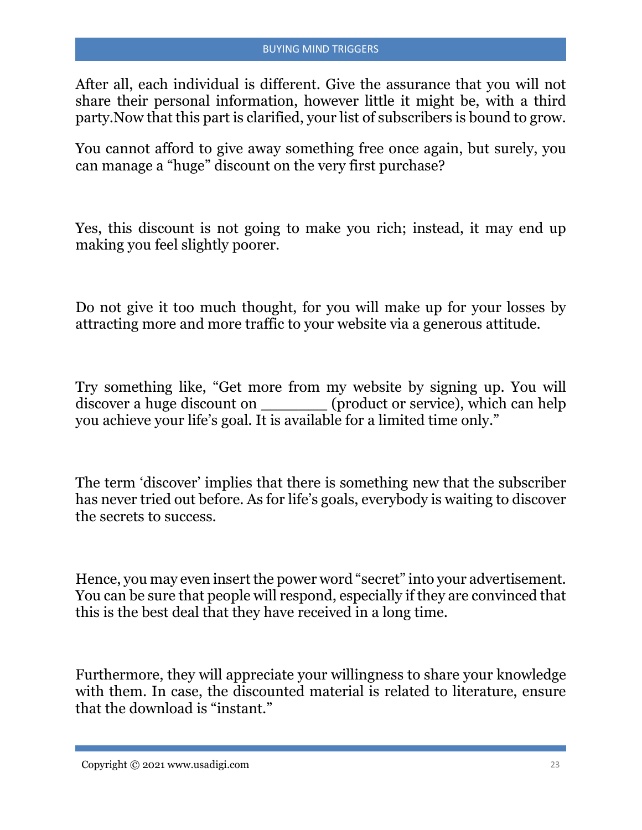After all, each individual is different. Give the assurance that you will not share their personal information, however little it might be, with a third party.Now that this part is clarified, your list of subscribers is bound to grow.

You cannot afford to give away something free once again, but surely, you can manage a "huge" discount on the very first purchase?

Yes, this discount is not going to make you rich; instead, it may end up making you feel slightly poorer.

Do not give it too much thought, for you will make up for your losses by attracting more and more traffic to your website via a generous attitude.

Try something like, "Get more from my website by signing up. You will discover a huge discount on \_\_\_\_\_\_\_ (product or service), which can help you achieve your life's goal. It is available for a limited time only."

The term 'discover' implies that there is something new that the subscriber has never tried out before. As for life's goals, everybody is waiting to discover the secrets to success.

Hence, you may even insert the power word "secret" into your advertisement. You can be sure that people will respond, especially if they are convinced that this is the best deal that they have received in a long time.

Furthermore, they will appreciate your willingness to share your knowledge with them. In case, the discounted material is related to literature, ensure that the download is "instant."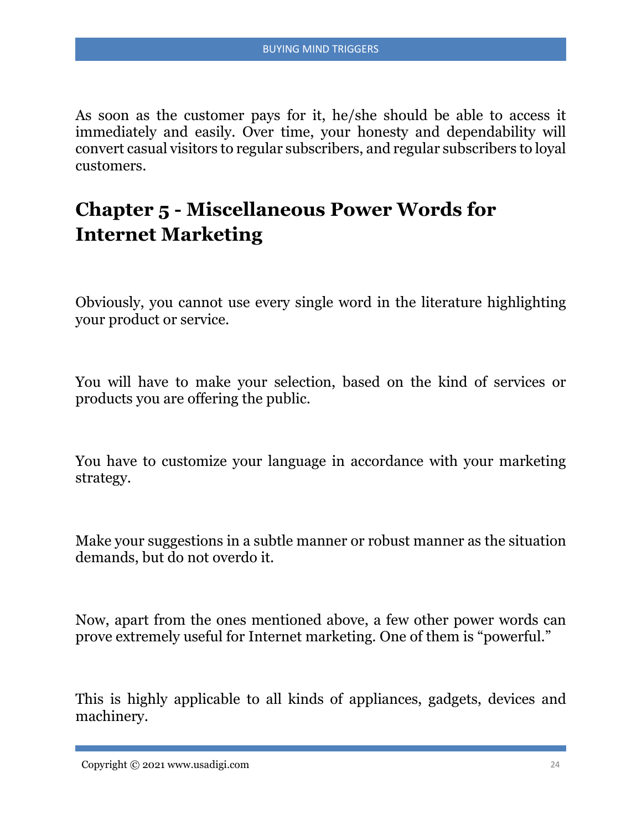As soon as the customer pays for it, he/she should be able to access it immediately and easily. Over time, your honesty and dependability will convert casual visitors to regular subscribers, and regular subscribers to loyal customers.

# **Chapter 5 - Miscellaneous Power Words for Internet Marketing**

Obviously, you cannot use every single word in the literature highlighting your product or service.

You will have to make your selection, based on the kind of services or products you are offering the public.

You have to customize your language in accordance with your marketing strategy.

Make your suggestions in a subtle manner or robust manner as the situation demands, but do not overdo it.

Now, apart from the ones mentioned above, a few other power words can prove extremely useful for Internet marketing. One of them is "powerful."

This is highly applicable to all kinds of appliances, gadgets, devices and machinery.

Copyright © 2021 www.usadigi.com 24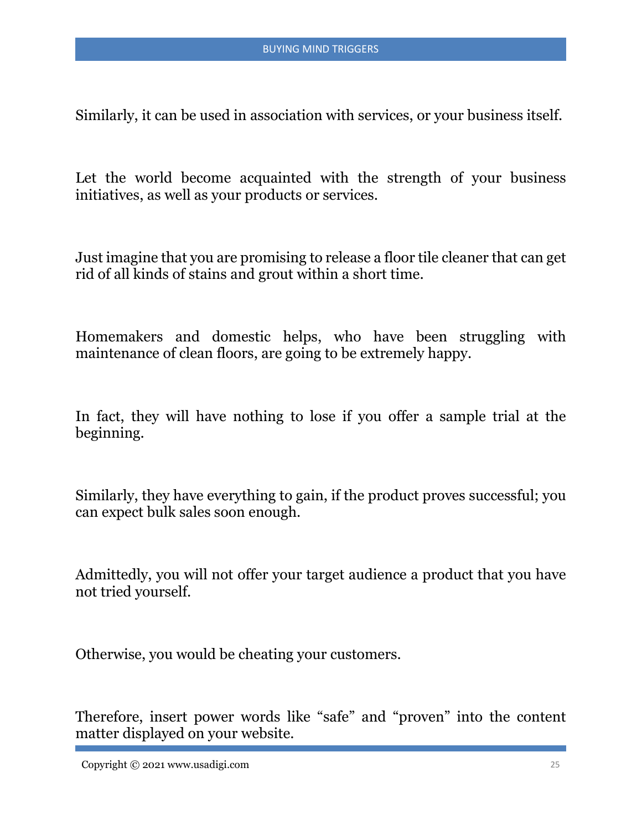Similarly, it can be used in association with services, or your business itself.

Let the world become acquainted with the strength of your business initiatives, as well as your products or services.

Just imagine that you are promising to release a floor tile cleaner that can get rid of all kinds of stains and grout within a short time.

Homemakers and domestic helps, who have been struggling with maintenance of clean floors, are going to be extremely happy.

In fact, they will have nothing to lose if you offer a sample trial at the beginning.

Similarly, they have everything to gain, if the product proves successful; you can expect bulk sales soon enough.

Admittedly, you will not offer your target audience a product that you have not tried yourself.

Otherwise, you would be cheating your customers.

Therefore, insert power words like "safe" and "proven" into the content matter displayed on your website.

Copyright © 2021 www.usadigi.com 25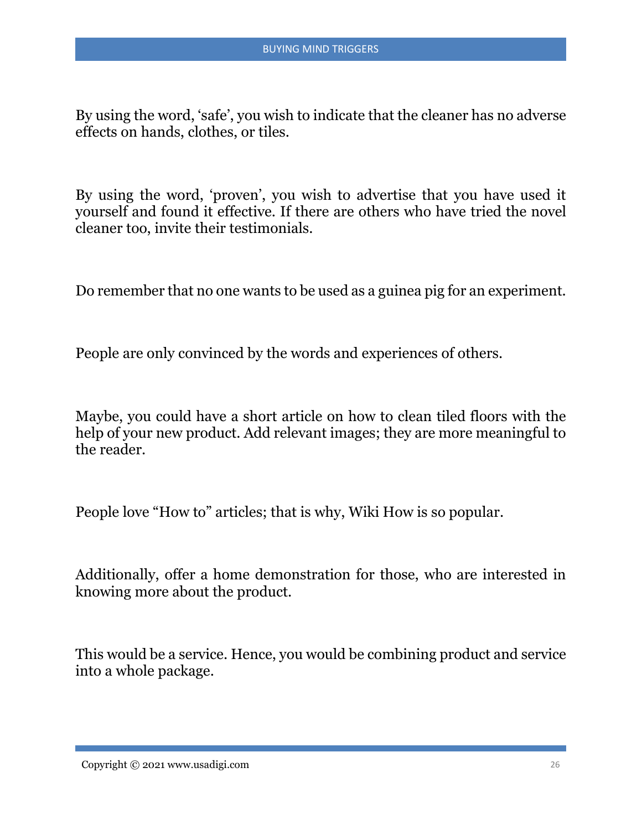By using the word, 'safe', you wish to indicate that the cleaner has no adverse effects on hands, clothes, or tiles.

By using the word, 'proven', you wish to advertise that you have used it yourself and found it effective. If there are others who have tried the novel cleaner too, invite their testimonials.

Do remember that no one wants to be used as a guinea pig for an experiment.

People are only convinced by the words and experiences of others.

Maybe, you could have a short article on how to clean tiled floors with the help of your new product. Add relevant images; they are more meaningful to the reader.

People love "How to" articles; that is why, Wiki How is so popular.

Additionally, offer a home demonstration for those, who are interested in knowing more about the product.

This would be a service. Hence, you would be combining product and service into a whole package.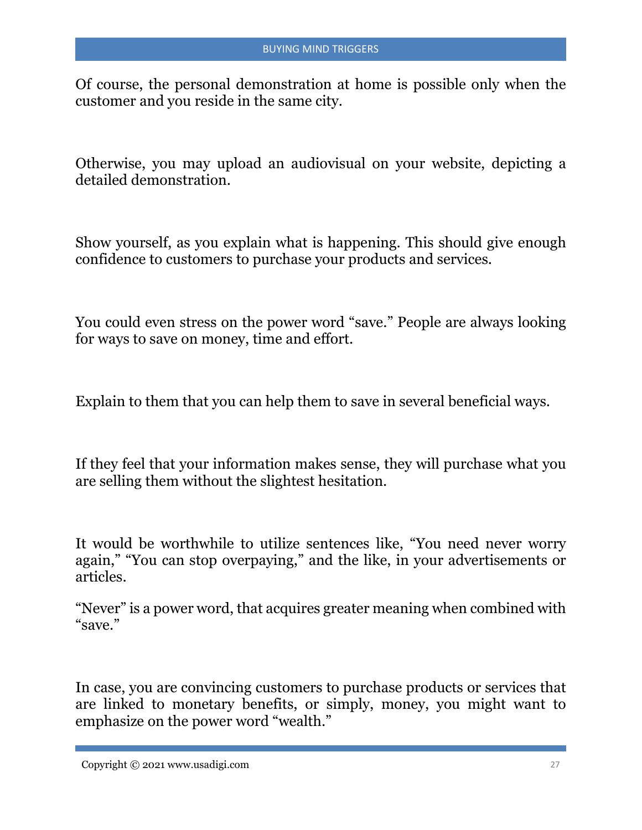Of course, the personal demonstration at home is possible only when the customer and you reside in the same city.

Otherwise, you may upload an audiovisual on your website, depicting a detailed demonstration.

Show yourself, as you explain what is happening. This should give enough confidence to customers to purchase your products and services.

You could even stress on the power word "save." People are always looking for ways to save on money, time and effort.

Explain to them that you can help them to save in several beneficial ways.

If they feel that your information makes sense, they will purchase what you are selling them without the slightest hesitation.

It would be worthwhile to utilize sentences like, "You need never worry again," "You can stop overpaying," and the like, in your advertisements or articles.

"Never" is a power word, that acquires greater meaning when combined with "save."

In case, you are convincing customers to purchase products or services that are linked to monetary benefits, or simply, money, you might want to emphasize on the power word "wealth."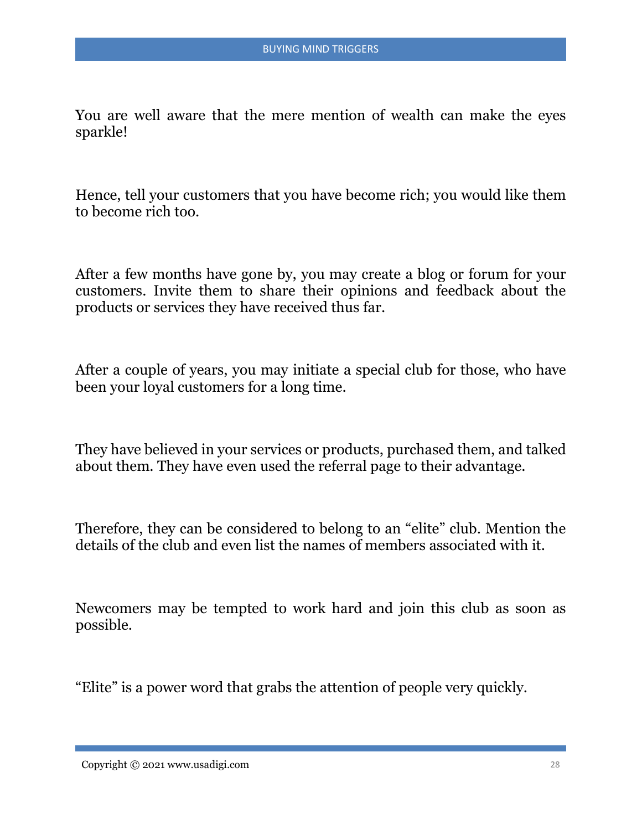You are well aware that the mere mention of wealth can make the eyes sparkle!

Hence, tell your customers that you have become rich; you would like them to become rich too.

After a few months have gone by, you may create a blog or forum for your customers. Invite them to share their opinions and feedback about the products or services they have received thus far.

After a couple of years, you may initiate a special club for those, who have been your loyal customers for a long time.

They have believed in your services or products, purchased them, and talked about them. They have even used the referral page to their advantage.

Therefore, they can be considered to belong to an "elite" club. Mention the details of the club and even list the names of members associated with it.

Newcomers may be tempted to work hard and join this club as soon as possible.

"Elite" is a power word that grabs the attention of people very quickly.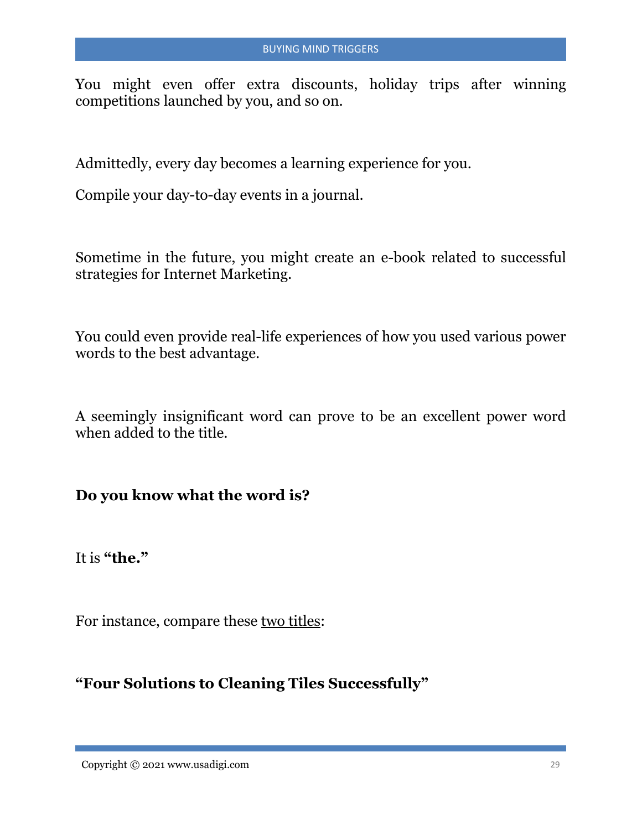You might even offer extra discounts, holiday trips after winning competitions launched by you, and so on.

Admittedly, every day becomes a learning experience for you.

Compile your day-to-day events in a journal.

Sometime in the future, you might create an e-book related to successful strategies for Internet Marketing.

You could even provide real-life experiences of how you used various power words to the best advantage.

A seemingly insignificant word can prove to be an excellent power word when added to the title.

**Do you know what the word is?** 

It is **"the."**

For instance, compare these two titles:

#### **"Four Solutions to Cleaning Tiles Successfully"**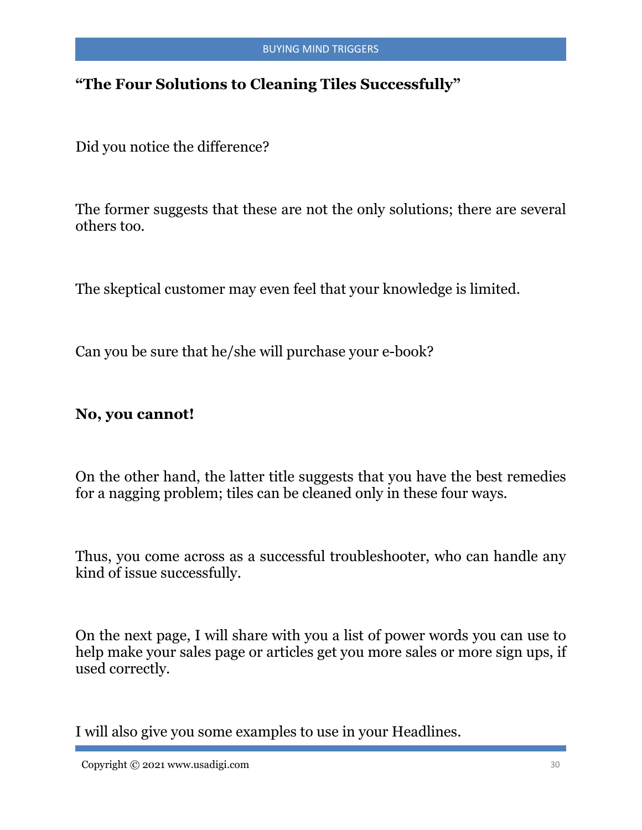#### **"The Four Solutions to Cleaning Tiles Successfully"**

Did you notice the difference?

The former suggests that these are not the only solutions; there are several others too.

The skeptical customer may even feel that your knowledge is limited.

Can you be sure that he/she will purchase your e-book?

#### **No, you cannot!**

On the other hand, the latter title suggests that you have the best remedies for a nagging problem; tiles can be cleaned only in these four ways.

Thus, you come across as a successful troubleshooter, who can handle any kind of issue successfully.

On the next page, I will share with you a list of power words you can use to help make your sales page or articles get you more sales or more sign ups, if used correctly.

I will also give you some examples to use in your Headlines.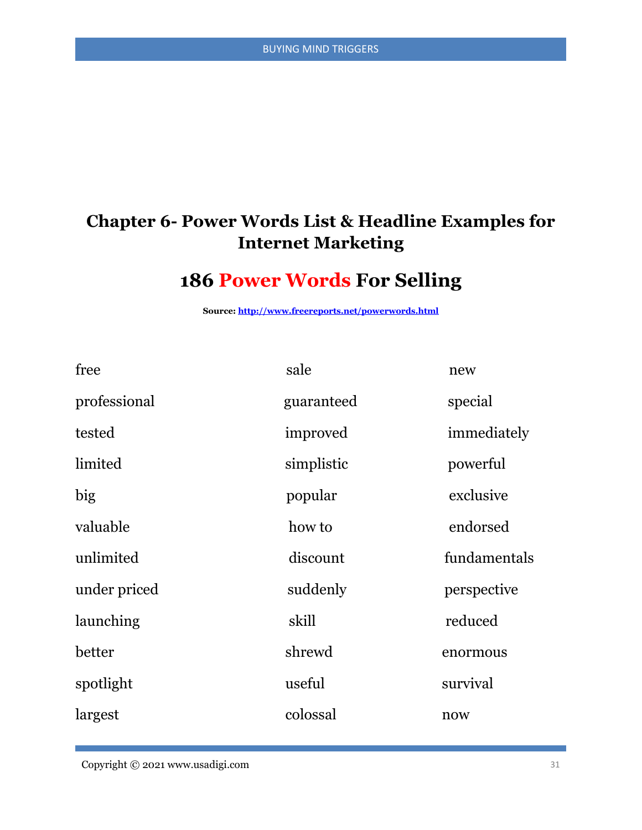#### **Chapter 6- Power Words List & Headline Examples for Internet Marketing**

# **186 Power Words For Selling**

**Source[: http://www.freereports.net/powerwords.html](http://www.freereports.net/powerwords.html)**

| free         | sale       | new          |
|--------------|------------|--------------|
| professional | guaranteed | special      |
| tested       | improved   | immediately  |
| limited      | simplistic | powerful     |
| big          | popular    | exclusive    |
| valuable     | how to     | endorsed     |
| unlimited    | discount   | fundamentals |
| under priced | suddenly   | perspective  |
| launching    | skill      | reduced      |
| better       | shrewd     | enormous     |
| spotlight    | useful     | survival     |
| largest      | colossal   | now          |

Copyright © 2021 www.usadigi.com 31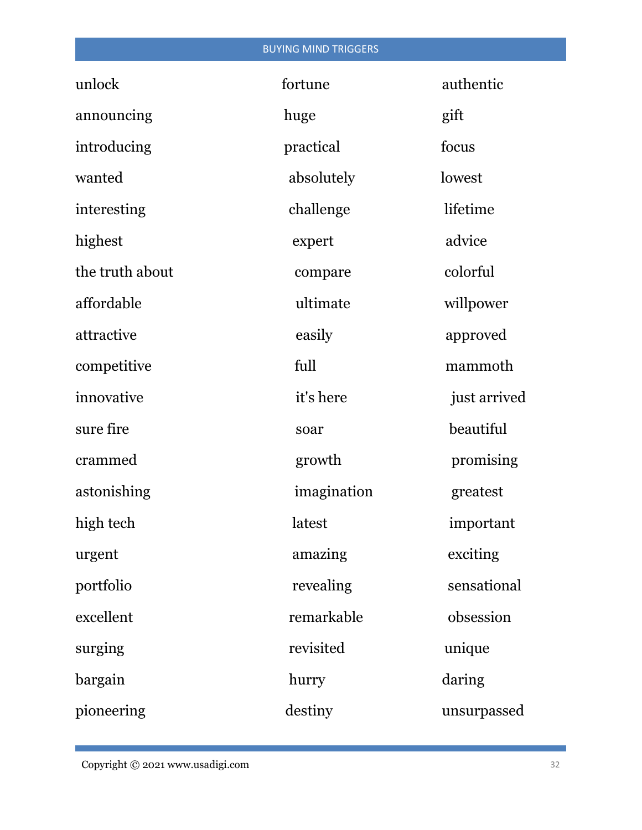#### BUYING MIND TRIGGERS

| unlock          | fortune     | authentic    |
|-----------------|-------------|--------------|
| announcing      | huge        | gift         |
| introducing     | practical   | focus        |
| wanted          | absolutely  | lowest       |
| interesting     | challenge   | lifetime     |
| highest         | expert      | advice       |
| the truth about | compare     | colorful     |
| affordable      | ultimate    | willpower    |
| attractive      | easily      | approved     |
| competitive     | full        | mammoth      |
| innovative      | it's here   | just arrived |
| sure fire       | soar        | beautiful    |
| crammed         | growth      | promising    |
| astonishing     | imagination | greatest     |
| high tech       | latest      | important    |
| urgent          | amazing     | exciting     |
| portfolio       | revealing   | sensational  |
| excellent       | remarkable  | obsession    |
| surging         | revisited   | unique       |
| bargain         | hurry       | daring       |
| pioneering      | destiny     | unsurpassed  |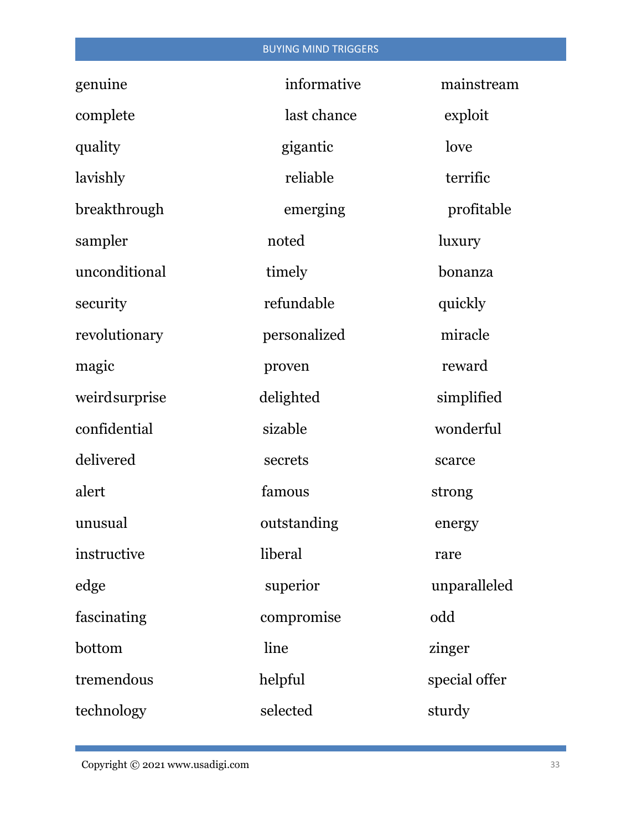#### BUYING MIND TRIGGERS

| genuine       | informative  | mainstream    |
|---------------|--------------|---------------|
| complete      | last chance  | exploit       |
| quality       | gigantic     | love          |
| lavishly      | reliable     | terrific      |
| breakthrough  | emerging     | profitable    |
| sampler       | noted        | <i>luxury</i> |
| unconditional | timely       | bonanza       |
| security      | refundable   | quickly       |
| revolutionary | personalized | miracle       |
| magic         | proven       | reward        |
| weirdsurprise | delighted    | simplified    |
| confidential  | sizable      | wonderful     |
| delivered     | secrets      | scarce        |
| alert         | famous       | strong        |
| unusual       | outstanding  | energy        |
| instructive   | liberal      | rare          |
| edge          | superior     | unparalleled  |
| fascinating   | compromise   | odd           |
| bottom        | line         | zinger        |
| tremendous    | helpful      | special offer |
| technology    | selected     | sturdy        |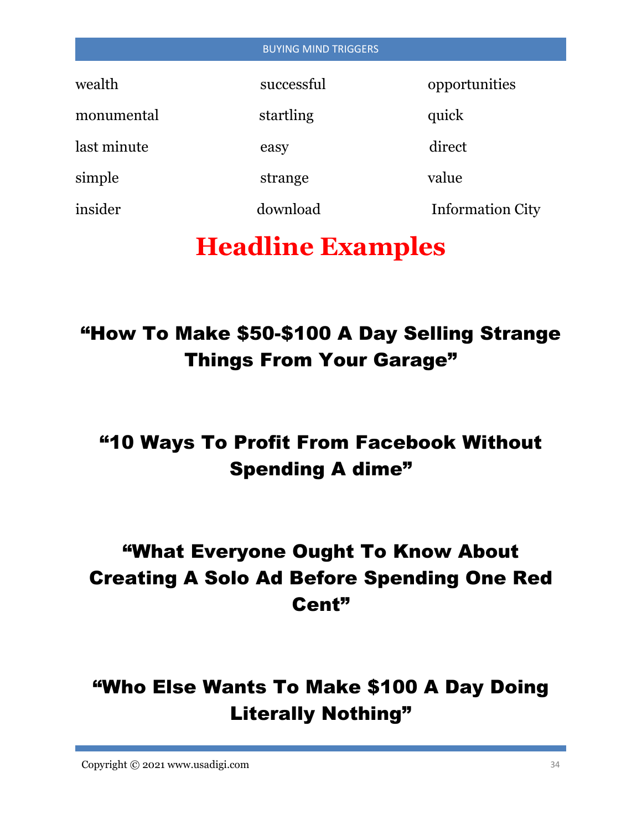| <b>BUYING MIND TRIGGERS</b> |            |                         |  |  |
|-----------------------------|------------|-------------------------|--|--|
| wealth                      | successful | opportunities           |  |  |
| monumental                  | startling  | quick                   |  |  |
| last minute                 | easy       | direct                  |  |  |
| simple                      | strange    | value                   |  |  |
| insider                     | download   | <b>Information City</b> |  |  |

# **Headline Examples**

# "How To Make \$50-\$100 A Day Selling Strange Things From Your Garage"

# "10 Ways To Profit From Facebook Without Spending A dime"

# "What Everyone Ought To Know About Creating A Solo Ad Before Spending One Red Cent"

# "Who Else Wants To Make \$100 A Day Doing Literally Nothing"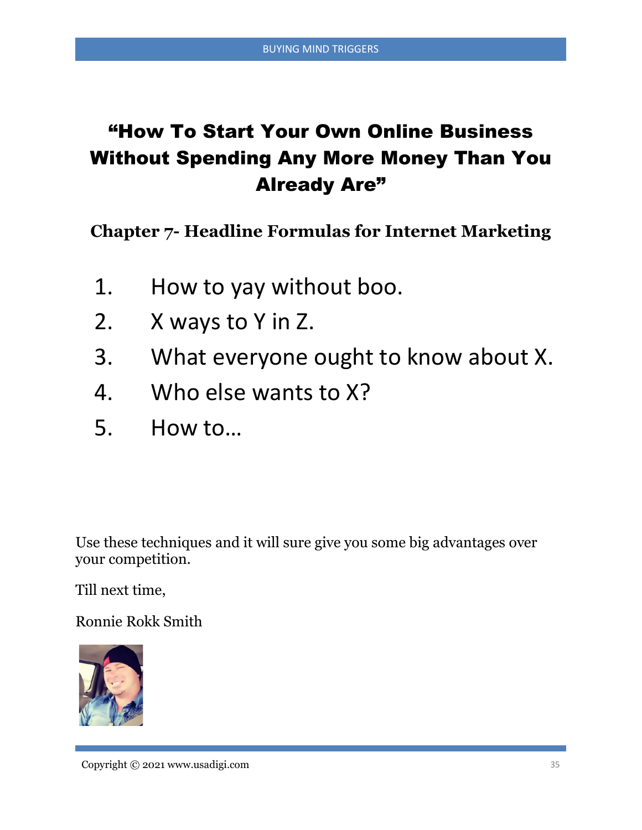# "How To Start Your Own Online Business Without Spending Any More Money Than You Already Are"

**Chapter 7- Headline Formulas for Internet Marketing**

- 1. How to yay without boo.
- 2. X ways to Y in Z.
- 3. What everyone ought to know about X.
- 4. Who else wants to X?
- 5. How to…

Use these techniques and it will sure give you some big advantages over your competition.

Till next time,

Ronnie Rokk Smith